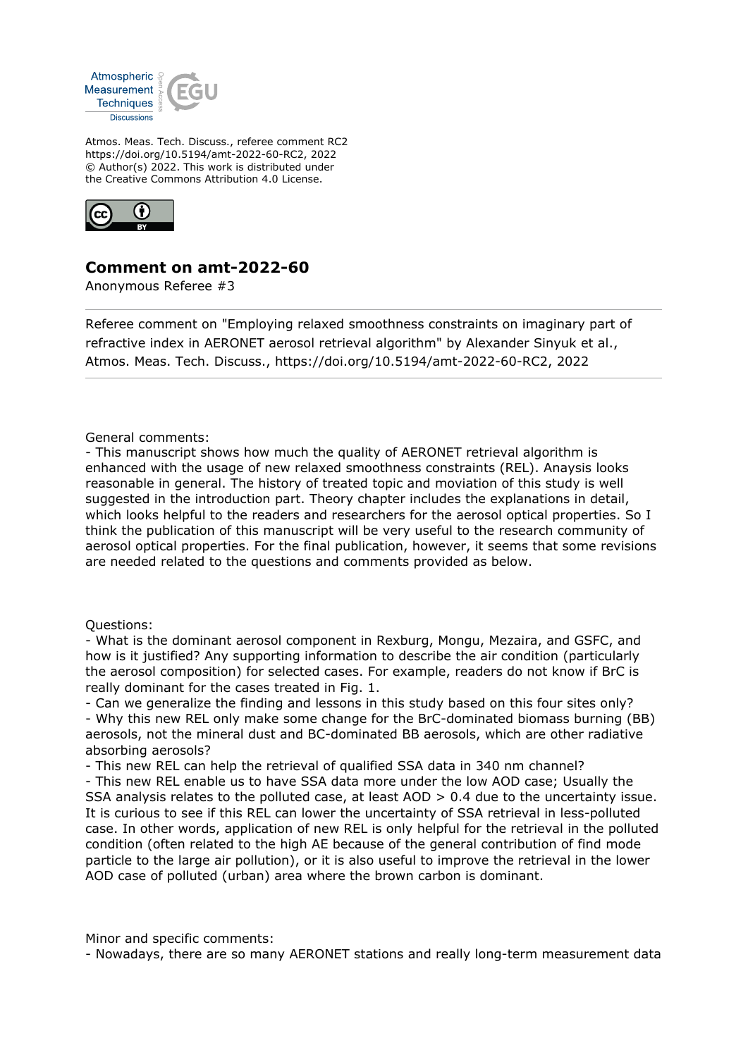

Atmos. Meas. Tech. Discuss., referee comment RC2 https://doi.org/10.5194/amt-2022-60-RC2, 2022 © Author(s) 2022. This work is distributed under the Creative Commons Attribution 4.0 License.



## **Comment on amt-2022-60**

Anonymous Referee #3

Referee comment on "Employing relaxed smoothness constraints on imaginary part of refractive index in AERONET aerosol retrieval algorithm" by Alexander Sinyuk et al., Atmos. Meas. Tech. Discuss., https://doi.org/10.5194/amt-2022-60-RC2, 2022

General comments:

- This manuscript shows how much the quality of AERONET retrieval algorithm is enhanced with the usage of new relaxed smoothness constraints (REL). Anaysis looks reasonable in general. The history of treated topic and moviation of this study is well suggested in the introduction part. Theory chapter includes the explanations in detail, which looks helpful to the readers and researchers for the aerosol optical properties. So I think the publication of this manuscript will be very useful to the research community of aerosol optical properties. For the final publication, however, it seems that some revisions are needed related to the questions and comments provided as below.

## Questions:

- What is the dominant aerosol component in Rexburg, Mongu, Mezaira, and GSFC, and how is it justified? Any supporting information to describe the air condition (particularly the aerosol composition) for selected cases. For example, readers do not know if BrC is really dominant for the cases treated in Fig. 1.

- Can we generalize the finding and lessons in this study based on this four sites only? - Why this new REL only make some change for the BrC-dominated biomass burning (BB) aerosols, not the mineral dust and BC-dominated BB aerosols, which are other radiative absorbing aerosols?

- This new REL can help the retrieval of qualified SSA data in 340 nm channel?

- This new REL enable us to have SSA data more under the low AOD case; Usually the SSA analysis relates to the polluted case, at least AOD > 0.4 due to the uncertainty issue. It is curious to see if this REL can lower the uncertainty of SSA retrieval in less-polluted case. In other words, application of new REL is only helpful for the retrieval in the polluted condition (often related to the high AE because of the general contribution of find mode particle to the large air pollution), or it is also useful to improve the retrieval in the lower AOD case of polluted (urban) area where the brown carbon is dominant.

Minor and specific comments:

- Nowadays, there are so many AERONET stations and really long-term measurement data